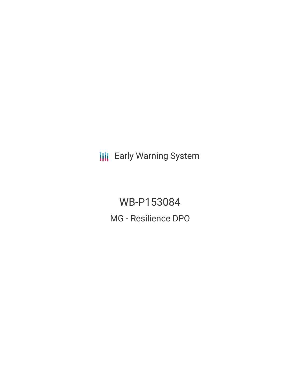**III** Early Warning System

WB-P153084 MG - Resilience DPO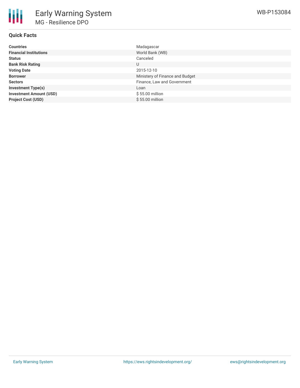

# **Quick Facts**

| <b>Countries</b>               | Madagascar                      |
|--------------------------------|---------------------------------|
| <b>Financial Institutions</b>  | World Bank (WB)                 |
| <b>Status</b>                  | Canceled                        |
| <b>Bank Risk Rating</b>        | U                               |
| <b>Voting Date</b>             | 2015-12-10                      |
| <b>Borrower</b>                | Ministery of Finance and Budget |
| <b>Sectors</b>                 | Finance, Law and Government     |
| <b>Investment Type(s)</b>      | Loan                            |
| <b>Investment Amount (USD)</b> | $$55.00$ million                |
| <b>Project Cost (USD)</b>      | $$55.00$ million                |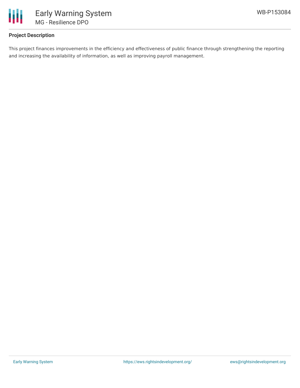

# **Project Description**

This project finances improvements in the efficiency and effectiveness of public finance through strengthening the reporting and increasing the availability of information, as well as improving payroll management.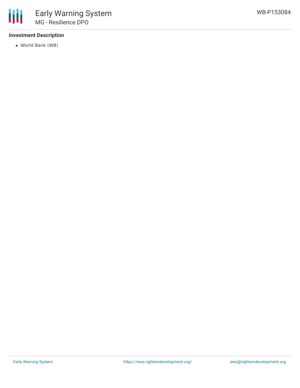

# **Investment Description**

World Bank (WB)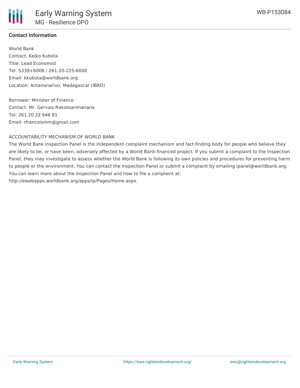### **Contact Information**

World Bank Contact: Keiko Kubota Title: Lead Economist Tel: 5339+6008 / 261-20-225-6000 Email: kkubota@worldbank.org Location: Antananarivo, Madagascar (IBRD)

Borrower: Minister of Finance Contact: Mr. Gervais Rakotoarimanana Tel: 261 20 22 646 81 Email: rfrancoismm@gmail.com

#### ACCOUNTABILITY MECHANISM OF WORLD BANK

The World Bank Inspection Panel is the independent complaint mechanism and fact-finding body for people who believe they are likely to be, or have been, adversely affected by a World Bank-financed project. If you submit a complaint to the Inspection Panel, they may investigate to assess whether the World Bank is following its own policies and procedures for preventing harm to people or the environment. You can contact the Inspection Panel or submit a complaint by emailing ipanel@worldbank.org. You can learn more about the Inspection Panel and how to file a complaint at: http://ewebapps.worldbank.org/apps/ip/Pages/Home.aspx.